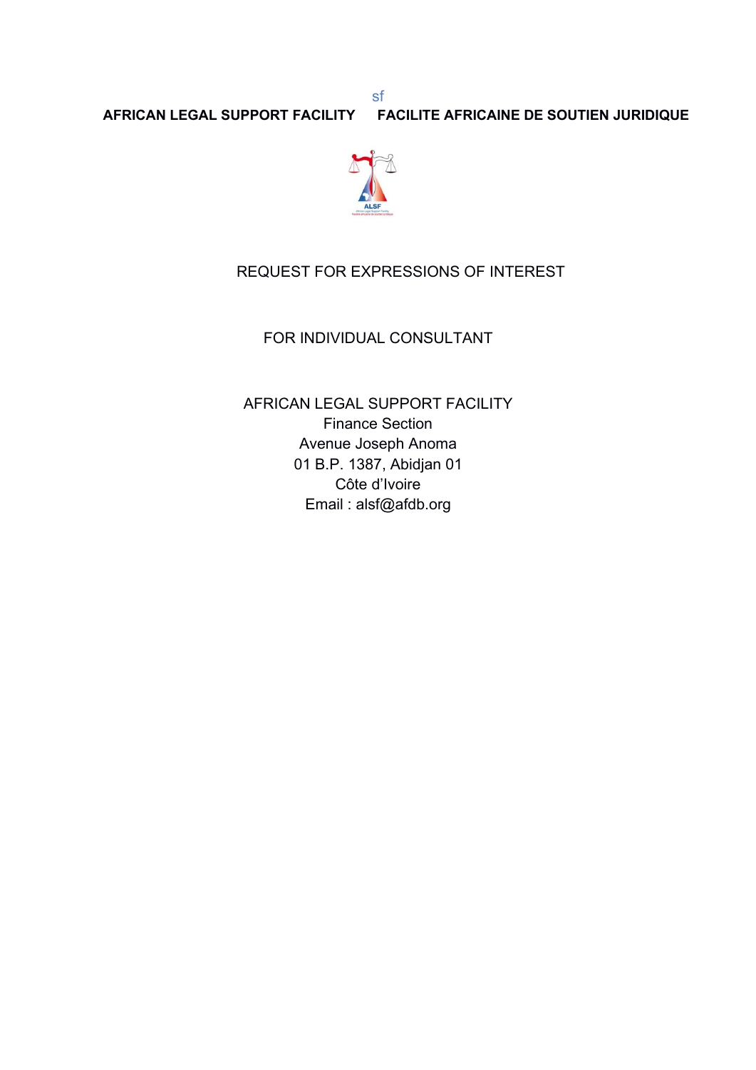

# REQUEST FOR EXPRESSIONS OF INTEREST

sf

### FOR INDIVIDUAL CONSULTANT

AFRICAN LEGAL SUPPORT FACILITY Finance Section Avenue Joseph Anoma 01 B.P. 1387, Abidjan 01 Côte d'Ivoire Email : alsf@afdb.org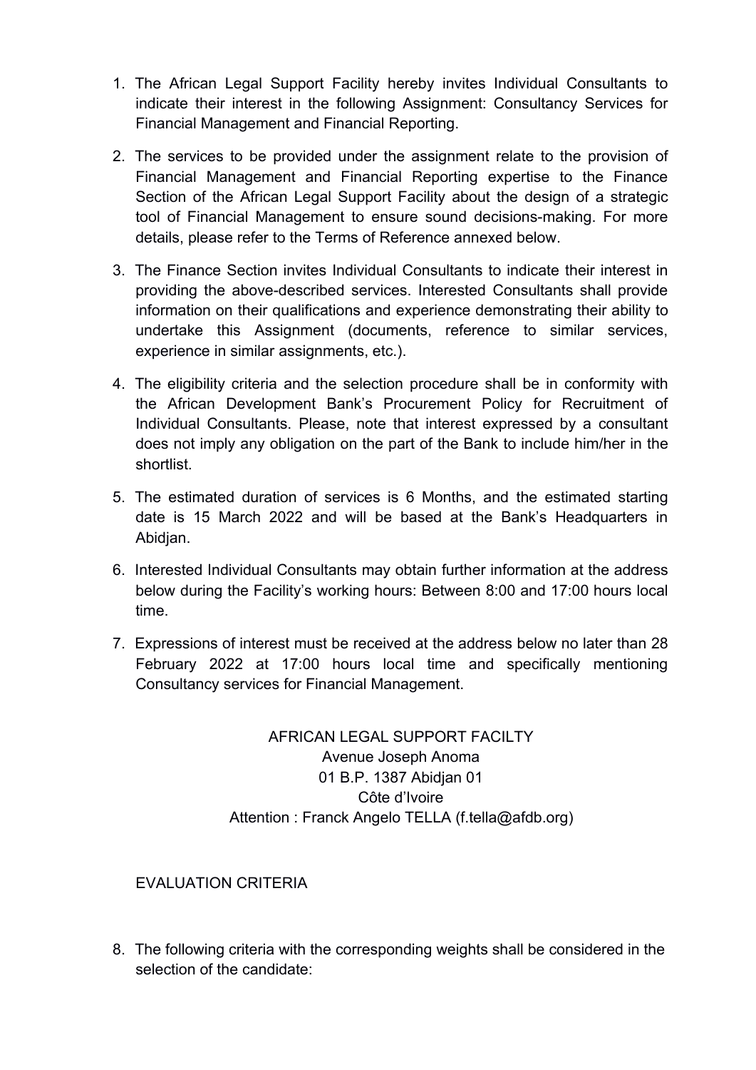- 1. The African Legal Support Facility hereby invites Individual Consultants to indicate their interest in the following Assignment: Consultancy Services for Financial Management and Financial Reporting.
- 2. The services to be provided under the assignment relate to the provision of Financial Management and Financial Reporting expertise to the Finance Section of the African Legal Support Facility about the design of a strategic tool of Financial Management to ensure sound decisions-making. For more details, please refer to the Terms of Reference annexed below.
- 3. The Finance Section invites Individual Consultants to indicate their interest in providing the above-described services. Interested Consultants shall provide information on their qualifications and experience demonstrating their ability to undertake this Assignment (documents, reference to similar services, experience in similar assignments, etc.).
- 4. The eligibility criteria and the selection procedure shall be in conformity with the African Development Bank's Procurement Policy for Recruitment of Individual Consultants. Please, note that interest expressed by a consultant does not imply any obligation on the part of the Bank to include him/her in the shortlist.
- 5. The estimated duration of services is 6 Months, and the estimated starting date is 15 March 2022 and will be based at the Bank's Headquarters in Abidjan.
- 6. Interested Individual Consultants may obtain further information at the address below during the Facility's working hours: Between 8:00 and 17:00 hours local time.
- 7. Expressions of interest must be received at the address below no later than 28 February 2022 at 17:00 hours local time and specifically mentioning Consultancy services for Financial Management.

## AFRICAN LEGAL SUPPORT FACILTY Avenue Joseph Anoma 01 B.P. 1387 Abidjan 01 Côte d'Ivoire Attention : Franck Angelo TELLA (f.tella@afdb.org)

### EVALUATION CRITERIA

8. The following criteria with the corresponding weights shall be considered in the selection of the candidate: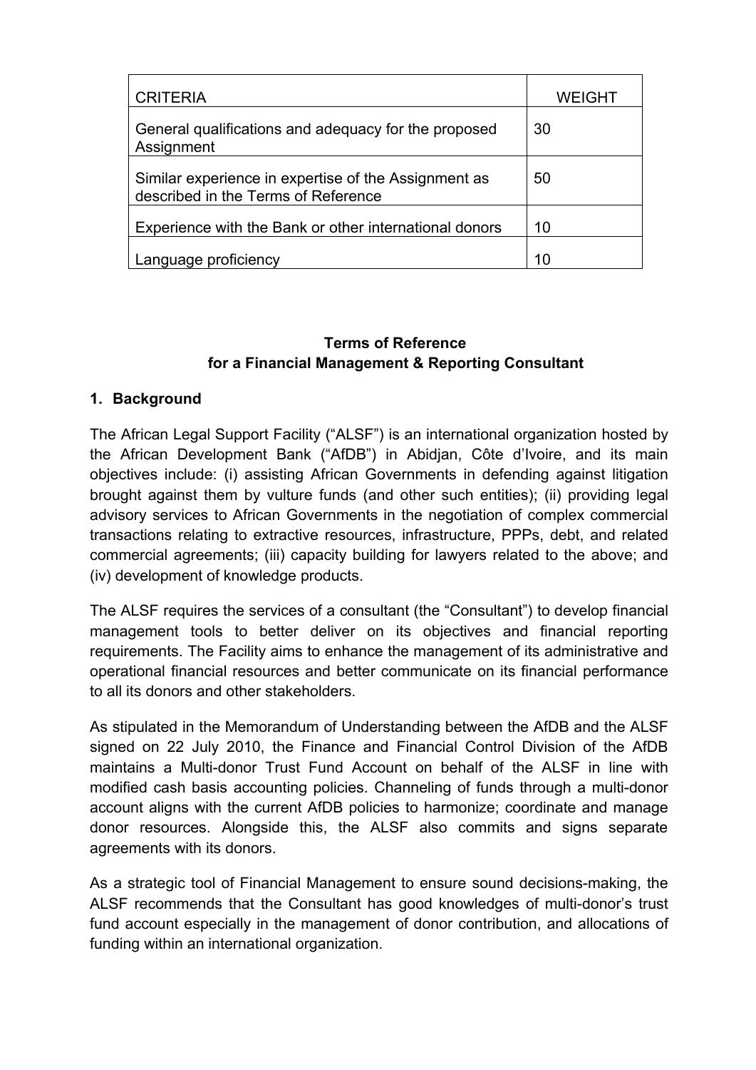| <b>CRITERIA</b>                                                                             | <b>WEIGHT</b> |  |
|---------------------------------------------------------------------------------------------|---------------|--|
| General qualifications and adequacy for the proposed<br>Assignment                          | 30            |  |
| Similar experience in expertise of the Assignment as<br>described in the Terms of Reference | 50            |  |
| Experience with the Bank or other international donors                                      | 10            |  |
| Language proficiency                                                                        | 10            |  |

## **Terms of Reference for a Financial Management & Reporting Consultant**

## **1. Background**

The African Legal Support Facility ("ALSF") is an international organization hosted by the African Development Bank ("AfDB") in Abidjan, Côte d'Ivoire, and its main objectives include: (i) assisting African Governments in defending against litigation brought against them by vulture funds (and other such entities); (ii) providing legal advisory services to African Governments in the negotiation of complex commercial transactions relating to extractive resources, infrastructure, PPPs, debt, and related commercial agreements; (iii) capacity building for lawyers related to the above; and (iv) development of knowledge products.

The ALSF requires the services of a consultant (the "Consultant") to develop financial management tools to better deliver on its objectives and financial reporting requirements. The Facility aims to enhance the management of its administrative and operational financial resources and better communicate on its financial performance to all its donors and other stakeholders.

As stipulated in the Memorandum of Understanding between the AfDB and the ALSF signed on 22 July 2010, the Finance and Financial Control Division of the AfDB maintains a Multi-donor Trust Fund Account on behalf of the ALSF in line with modified cash basis accounting policies. Channeling of funds through a multi-donor account aligns with the current AfDB policies to harmonize; coordinate and manage donor resources. Alongside this, the ALSF also commits and signs separate agreements with its donors.

As a strategic tool of Financial Management to ensure sound decisions-making, the ALSF recommends that the Consultant has good knowledges of multi-donor's trust fund account especially in the management of donor contribution, and allocations of funding within an international organization.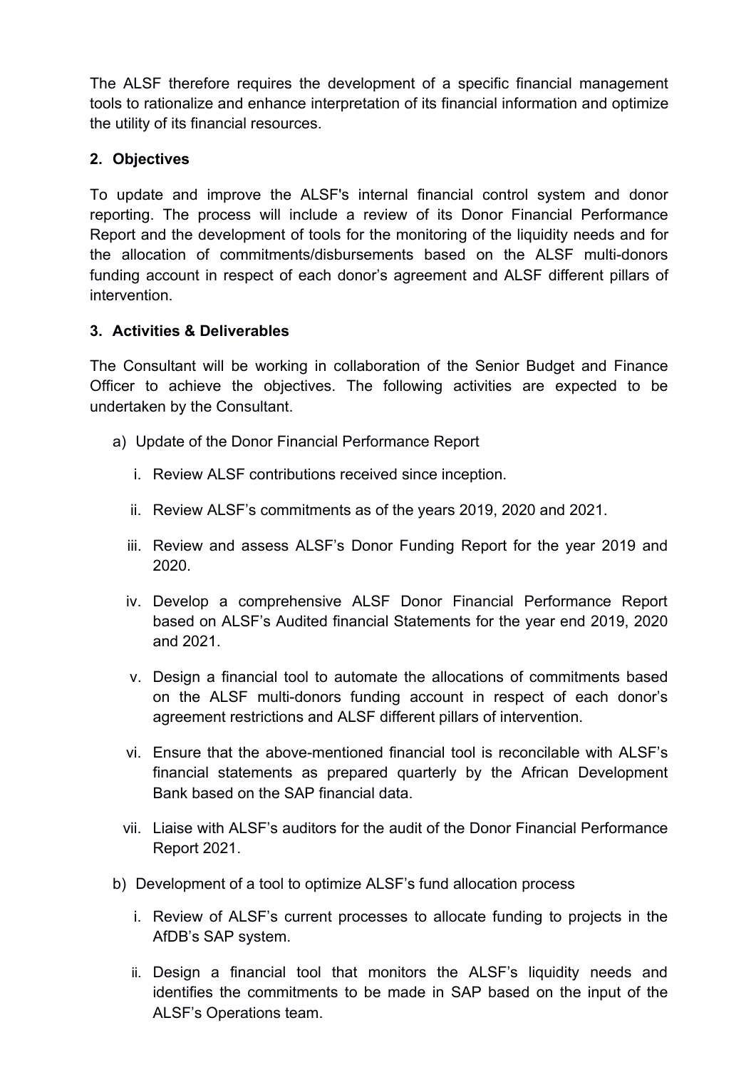The ALSF therefore requires the development of a specific financial management tools to rationalize and enhance interpretation of its financial information and optimize the utility of its financial resources.

## **2. Objectives**

To update and improve the ALSF's internal financial control system and donor reporting. The process will include a review of its Donor Financial Performance Report and the development of tools for the monitoring of the liquidity needs and for the allocation of commitments/disbursements based on the ALSF multi-donors funding account in respect of each donor's agreement and ALSF different pillars of intervention.

## **3. Activities & Deliverables**

The Consultant will be working in collaboration of the Senior Budget and Finance Officer to achieve the objectives. The following activities are expected to be undertaken by the Consultant.<br>a) Update of the Donor Financial Performance Report

- - i. Review ALSF contributions received since inception.
	- ii. Review ALSF's commitments as of the years 2019, 2020 and 2021.
	- iii. Review and assess ALSF's Donor Funding Report for the year 2019 and 2020.
	- iv. Develop a comprehensive ALSF Donor Financial Performance Report based on ALSF's Audited financial Statements for the year end 2019, 2020 and 2021.
	- v. Design a financial tool to automate the allocations of commitments based on the ALSF multi-donors funding account in respect of each donor's agreement restrictions and ALSF different pillars of intervention.
	- vi. Ensure that the above-mentioned financial tool is reconcilable with ALSF's financial statements as prepared quarterly by the African Development Bank based on the SAP financial data.
- vii. Liaise with ALSF's auditors for the audit of the Donor Financial Performance Report 2021.
- b) Development of a tool to optimize ALSF's fund allocation process
	- i. Review of ALSF's current processes to allocate funding to projects in the AfDB's SAP system.
	- ii. Design a financial tool that monitors the ALSF's liquidity needs and identifies the commitments to be made in SAP based on the input of the ALSF's Operations team.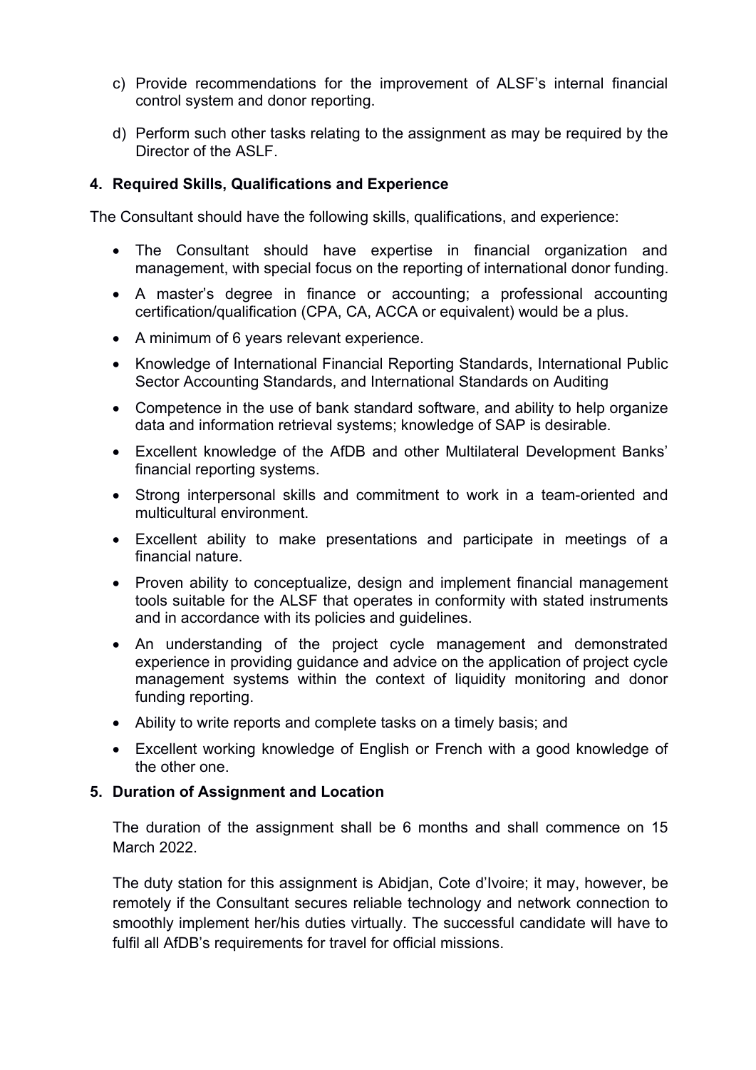- c) Provide recommendations for the improvement of ALSF's internal financial control system and donor reporting.
- d) Perform such other tasks relating to the assignment as may be required by the Director of the ASLF.

#### **4. Required Skills, Qualifications and Experience**

The Consultant should have the following skills, qualifications, and experience:

- The Consultant should have expertise in financial organization and management, with special focus on the reporting of international donor funding.
- A master's degree in finance or accounting; a professional accounting certification/qualification (CPA, CA, ACCA or equivalent) would be a plus.
- A minimum of 6 years relevant experience.
- Knowledge of International Financial Reporting Standards, International Public Sector Accounting Standards, and International Standards on Auditing
- Competence in the use of bank standard software, and ability to help organize data and information retrieval systems; knowledge of SAP is desirable.
- Excellent knowledge of the AfDB and other Multilateral Development Banks' financial reporting systems.
- Strong interpersonal skills and commitment to work in a team-oriented and multicultural environment.
- Excellent ability to make presentations and participate in meetings of a financial nature.
- Proven ability to conceptualize, design and implement financial management tools suitable for the ALSF that operates in conformity with stated instruments and in accordance with its policies and guidelines.
- An understanding of the project cycle management and demonstrated experience in providing guidance and advice on the application of project cycle management systems within the context of liquidity monitoring and donor funding reporting.
- Ability to write reports and complete tasks on a timely basis; and
- Excellent working knowledge of English or French with a good knowledge of the other one.

#### **5. Duration of Assignment and Location**

The duration of the assignment shall be 6 months and shall commence on 15 March 2022.

The duty station for this assignment is Abidjan, Cote d'Ivoire; it may, however, be remotely if the Consultant secures reliable technology and network connection to smoothly implement her/his duties virtually. The successful candidate will have to fulfil all AfDB's requirements for travel for official missions.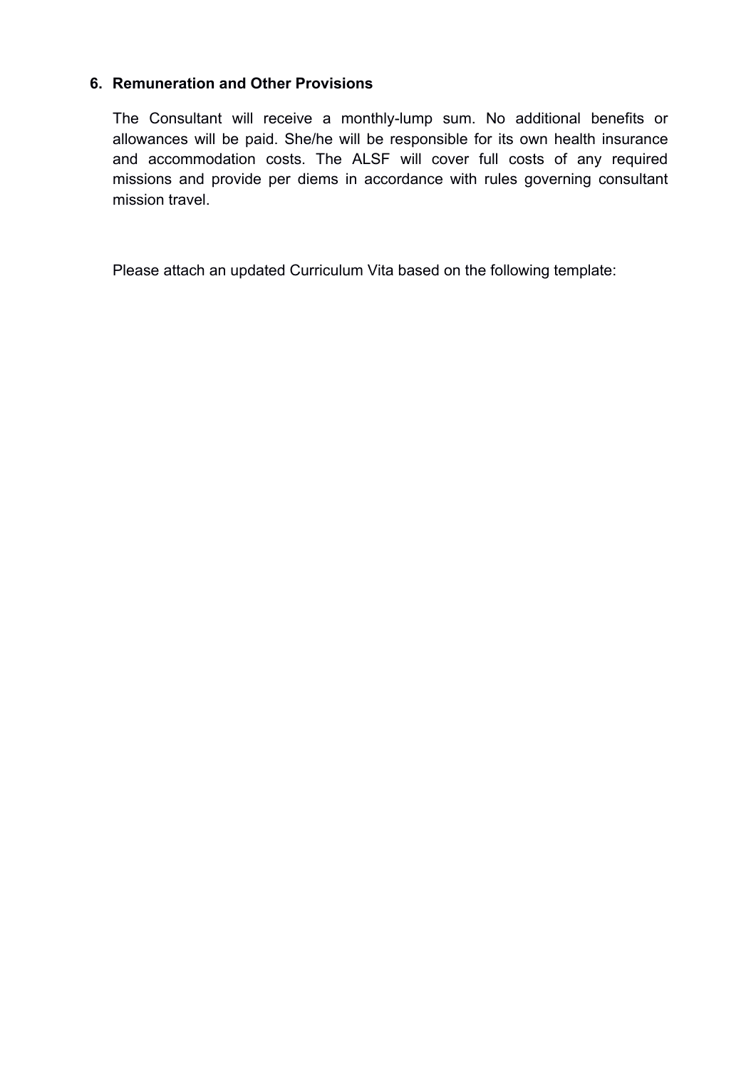### **6. Remuneration and Other Provisions**

The Consultant will receive a monthly-lump sum. No additional benefits or allowances will be paid. She/he will be responsible for its own health insurance and accommodation costs. The ALSF will cover full costs of any required missions and provide per diems in accordance with rules governing consultant mission travel.

Please attach an updated Curriculum Vita based on the following template: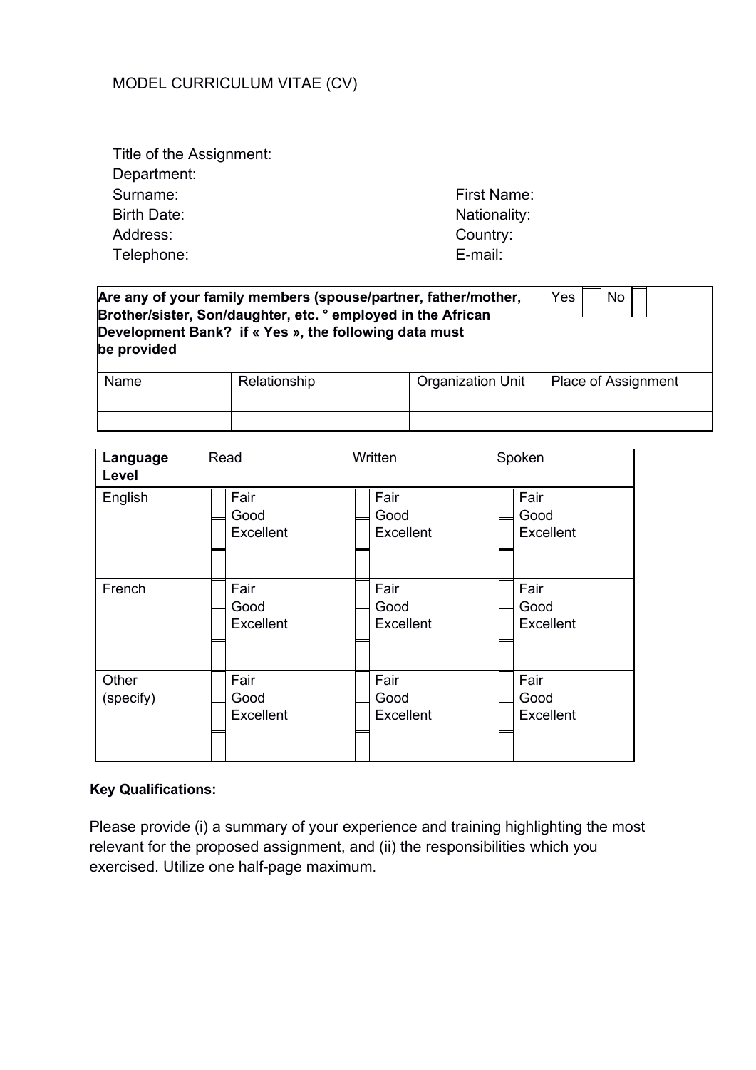## MODEL CURRICULUM VITAE(CV)

Title of the Assignment: Department: Surname: Surname: First Name: Birth Date: Nationality: Nationality: Address: Country: Telephone: E-mail:

| be provided | Brother/sister, Son/daughter, etc. ° employed in the African<br>Development Bank? if « Yes », the following data must | Are any of your family members (spouse/partner, father/mother,<br>Yes<br>No. |                     |  |  |
|-------------|-----------------------------------------------------------------------------------------------------------------------|------------------------------------------------------------------------------|---------------------|--|--|
| Name        | Relationship                                                                                                          | Organization Unit                                                            | Place of Assignment |  |  |
|             |                                                                                                                       |                                                                              |                     |  |  |

| Language<br>Level  | Read                      | Written                   | Spoken                    |
|--------------------|---------------------------|---------------------------|---------------------------|
| English            | Fair                      | Fair                      | Fair                      |
|                    | Good                      | Good                      | Good                      |
|                    | Excellent                 | Excellent                 | Excellent                 |
| French             | Fair                      | Fair                      | Fair                      |
|                    | Good                      | Good                      | Good                      |
|                    | Excellent                 | Excellent                 | Excellent                 |
| Other<br>(specify) | Fair<br>Good<br>Excellent | Fair<br>Good<br>Excellent | Fair<br>Good<br>Excellent |

## **Key Qualifications:**

Please provide (i) a summary of your experience and training highlighting the most relevant for the proposed assignment, and (ii) the responsibilities which you exercised. Utilize one half-page maximum.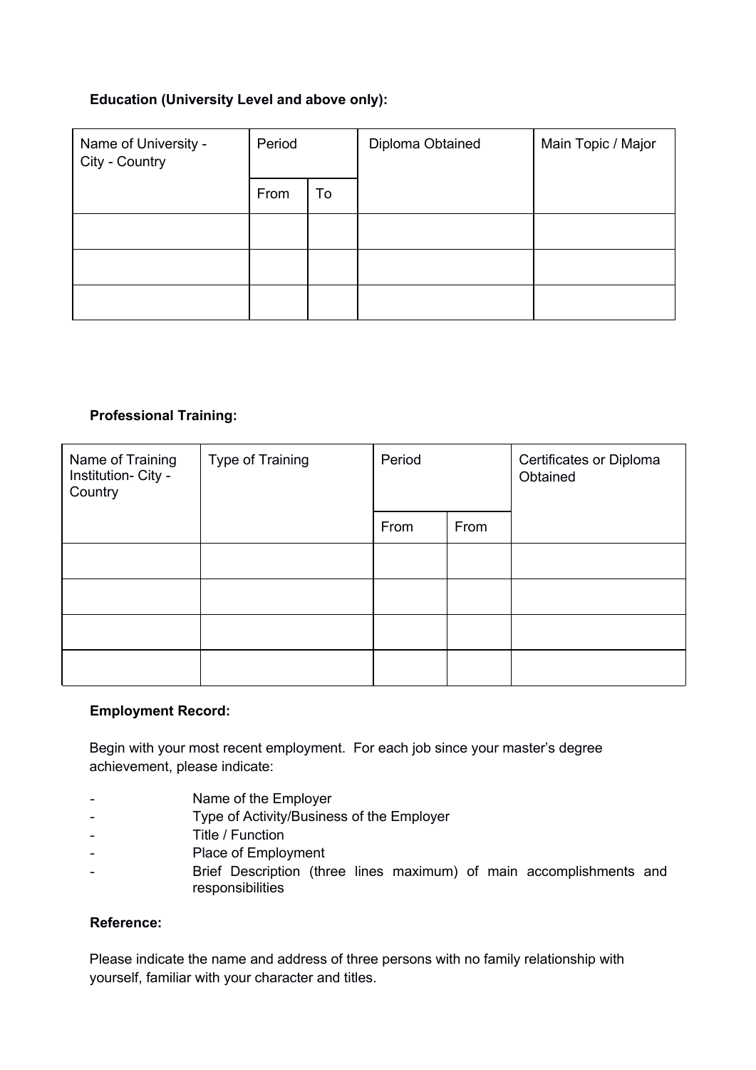#### **Education (University Level and above only):**

| Name of University -<br>City - Country | Period |    | Diploma Obtained | Main Topic / Major |  |
|----------------------------------------|--------|----|------------------|--------------------|--|
|                                        | From   | To |                  |                    |  |
|                                        |        |    |                  |                    |  |
|                                        |        |    |                  |                    |  |
|                                        |        |    |                  |                    |  |

#### **Professional Training:**

| Name of Training<br>Institution- City -<br>Country | Type of Training | Period |      | Certificates or Diploma<br>Obtained |  |
|----------------------------------------------------|------------------|--------|------|-------------------------------------|--|
|                                                    |                  | From   | From |                                     |  |
|                                                    |                  |        |      |                                     |  |
|                                                    |                  |        |      |                                     |  |
|                                                    |                  |        |      |                                     |  |
|                                                    |                  |        |      |                                     |  |

#### **Employment Record:**

Begin with your most recent employment. For each job since your master's degree achievement, please indicate:

- Name of the Employer
- Type of Activity/Business of the Employer
- Title / Function
- Place of Employment
- Brief Description (three lines maximum) of main accomplishments and responsibilities

#### **Reference:**

Please indicate the name and address of three persons with no family relationship with yourself, familiar with your character and titles.